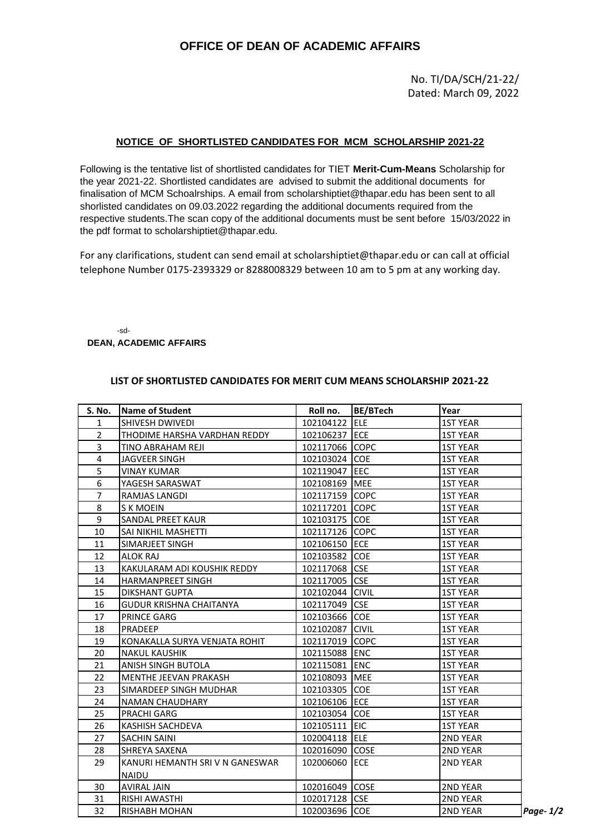## **OFFICE OF DEAN OF ACADEMIC AFFAIRS**

No. TI/DA/SCH/21-22/ Dated: March 09, 2022

## **NOTICE OF SHORTLISTED CANDIDATES FOR MCM SCHOLARSHIP 2021-22**

Following is the tentative list of shortlisted candidates for TIET **Merit-Cum-Means** Scholarship for the year 2021-22. Shortlisted candidates are advised to submit the additional documents for finalisation of MCM Schoalrships. A email from scholarshiptiet@thapar.edu has been sent to all shorlisted candidates on 09.03.2022 regarding the additional documents required from the respective students.The scan copy of the additional documents must be sent before 15/03/2022 in the pdf format to scholarshiptiet@thapar.edu.

For any clarifications, student can send email at scholarshiptiet@thapar.edu or can call at official telephone Number 0175-2393329 or 8288008329 between 10 am to 5 pm at any working day.

-sd-**DEAN, ACADEMIC AFFAIRS**

## **LIST OF SHORTLISTED CANDIDATES FOR MERIT CUM MEANS SCHOLARSHIP 2021-22**

| <b>S. No.</b>  | <b>Name of Student</b>          | Roll no.        | BE/BTech | Year            |          |
|----------------|---------------------------------|-----------------|----------|-----------------|----------|
| $\mathbf{1}$   | SHIVESH DWIVEDI                 | 102104122 ELE   |          | <b>1ST YEAR</b> |          |
| $\overline{2}$ | THODIME HARSHA VARDHAN REDDY    | 102106237 ECE   |          | <b>1ST YEAR</b> |          |
| 3              | TINO ABRAHAM REJI               | 102117066 COPC  |          | <b>1ST YEAR</b> |          |
| 4              | JAGVEER SINGH                   | 102103024 COE   |          | <b>1ST YEAR</b> |          |
| 5              | VINAY KUMAR                     | 102119047 EEC   |          | <b>1ST YEAR</b> |          |
| 6              | YAGESH SARASWAT                 | 102108169 MEE   |          | <b>1ST YEAR</b> |          |
| $\overline{7}$ | RAMJAS LANGDI                   | 102117159 COPC  |          | <b>1ST YEAR</b> |          |
| 8              | S K MOEIN                       | 102117201 COPC  |          | <b>1ST YEAR</b> |          |
| 9              | SANDAL PREET KAUR               | 102103175 COE   |          | <b>1ST YEAR</b> |          |
| 10             | SAI NIKHIL MASHETTI             | 102117126 COPC  |          | <b>1ST YEAR</b> |          |
| 11             | SIMARJEET SINGH                 | 102106150 ECE   |          | <b>1ST YEAR</b> |          |
| 12             | ALOK RAJ                        | 102103582 COE   |          | <b>1ST YEAR</b> |          |
| 13             | KAKULARAM ADI KOUSHIK REDDY     | 102117068 CSE   |          | <b>1ST YEAR</b> |          |
| 14             | HARMANPREET SINGH               | 102117005 CSE   |          | <b>1ST YEAR</b> |          |
| 15             | DIKSHANT GUPTA                  | 102102044 CIVIL |          | <b>1ST YEAR</b> |          |
| 16             | <b>GUDUR KRISHNA CHAITANYA</b>  | 102117049 CSE   |          | <b>1ST YEAR</b> |          |
| 17             | PRINCE GARG                     | 102103666 COE   |          | <b>1ST YEAR</b> |          |
| 18             | PRADEEP                         | 102102087 CIVIL |          | <b>1ST YEAR</b> |          |
| 19             | KONAKALLA SURYA VENJATA ROHIT   | 102117019 COPC  |          | <b>1ST YEAR</b> |          |
| 20             | <b>NAKUL KAUSHIK</b>            | 102115088 ENC   |          | <b>1ST YEAR</b> |          |
| 21             | ANISH SINGH BUTOLA              | 102115081 ENC   |          | <b>1ST YEAR</b> |          |
| 22             | MENTHE JEEVAN PRAKASH           | 102108093 MEE   |          | <b>1ST YEAR</b> |          |
| 23             | SIMARDEEP SINGH MUDHAR          | 102103305 COE   |          | <b>1ST YEAR</b> |          |
| 24             | <b>NAMAN CHAUDHARY</b>          | 102106106 ECE   |          | <b>1ST YEAR</b> |          |
| 25             | PRACHI GARG                     | 102103054 COE   |          | <b>1ST YEAR</b> |          |
| 26             | KASHISH SACHDEVA                | 102105111 EIC   |          | <b>1ST YEAR</b> |          |
| 27             | SACHIN SAINI                    | 102004118 ELE   |          | <b>2ND YEAR</b> |          |
| 28             | SHREYA SAXENA                   | 102016090 COSE  |          | 2ND YEAR        |          |
| 29             | KANURI HEMANTH SRI V N GANESWAR | 102006060 ECE   |          | <b>2ND YEAR</b> |          |
|                | NAIDU                           |                 |          |                 |          |
| 30             | <b>AVIRAL JAIN</b>              | 102016049 COSE  |          | <b>2ND YEAR</b> |          |
| 31             | RISHI AWASTHI                   | 102017128 CSE   |          | <b>2ND YEAR</b> |          |
| 32             | RISHABH MOHAN                   | 102003696 COE   |          | <b>2ND YEAR</b> | Page-1/2 |